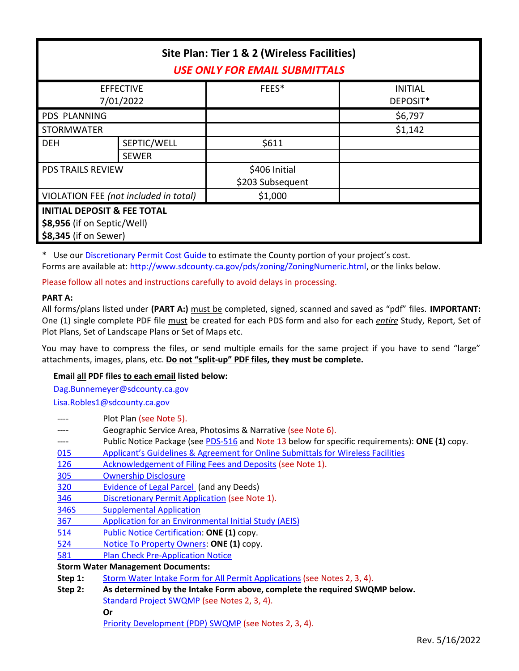| Site Plan: Tier 1 & 2 (Wireless Facilities)<br><b>USE ONLY FOR EMAIL SUBMITTALS</b>            |                             |                                   |                            |
|------------------------------------------------------------------------------------------------|-----------------------------|-----------------------------------|----------------------------|
| <b>EFFECTIVE</b><br>7/01/2022                                                                  |                             | FEES*                             | <b>INITIAL</b><br>DEPOSIT* |
| <b>PDS PLANNING</b>                                                                            |                             |                                   | \$6,797                    |
| <b>STORMWATER</b>                                                                              |                             |                                   | \$1,142                    |
| <b>DEH</b>                                                                                     | SEPTIC/WELL<br><b>SEWER</b> | \$611                             |                            |
| <b>PDS TRAILS REVIEW</b>                                                                       |                             | \$406 Initial<br>\$203 Subsequent |                            |
| VIOLATION FEE (not included in total)                                                          |                             | \$1,000                           |                            |
| <b>INITIAL DEPOSIT &amp; FEE TOTAL</b><br>\$8,956 (if on Septic/Well)<br>\$8,345 (if on Sewer) |                             |                                   |                            |

\* Use our [Discretionary Permit Cost Guide](http://www.sandiegocounty.gov/content/dam/sdc/pds/docs/Discretionary_Permit_Cost_Guide.xlsx) to estimate the County portion of your project's cost. Forms are available at: [http://www.sdcounty.ca.gov/pds/zoning/ZoningNumeric.html,](http://www.sdcounty.ca.gov/pds/zoning/ZoningNumeric.html) or the links below.

Please follow all notes and instructions carefully to avoid delays in processing.

## **PART A:**

All forms/plans listed under **(PART A:)** must be completed, signed, scanned and saved as "pdf" files. **IMPORTANT:** One (1) single complete PDF file must be created for each PDS form and also for each *entire* Study, Report, Set of Plot Plans, Set of Landscape Plans or Set of Maps etc.

You may have to compress the files, or send multiple emails for the same project if you have to send "large" attachments, images, plans, etc. **Do not "split-up" PDF files, they must be complete.**

## **Email all PDF files to each email listed below:**

[Dag.Bunnemeyer@sdcounty.ca.gov](mailto:Dag.Bunnemeyer@sdcounty.ca.gov)

[Lisa.Robles1@sdcounty.ca.gov](mailto:Lisa.Robles1@sdcounty.ca.gov)

- ---- Plot Plan (see Note 5).
- ---- Geographic Service Area, Photosims & Narrative (see Note 6).
- ---- Public Notice Package (se[e PDS-516](https://www.sandiegocounty.gov/pds/zoning/formfields/PDS-PLN-516.pdf) and Note 13 below for specific requirements): **ONE (1)** copy.
- 015 [Applicant's Guidelines & Agreement for Online Submittals for Wi](http://www.sdcounty.ca.gov/pds/zoning/formfields/PDS-PLN-015.pdf)reless Facilities
- [126 Acknowledgement of Filing Fees and Deposits](http://www.sdcounty.ca.gov/pds/zoning/formfields/PDS-PLN-126.pdf) (see Note 1).
- [305 Ownership Disclosure](http://www.sdcounty.ca.gov/pds/zoning/formfields/PDS-PLN-305.pdf)
- [320 Evidence of Legal Parcel](http://www.sdcounty.ca.gov/pds/zoning/formfields/PDS-PLN-320.pdf) (and any Deeds)
- 346 [Discretionary Permit Application](http://www.sdcounty.ca.gov/pds/zoning/formfields/PDS-PLN-346.pdf) (see Note 1).
- [346S Supplemental Application](http://www.sdcounty.ca.gov/pds/zoning/formfields/PDS-PLN-346S.pdf)
- 367 [Application for an Environmental](http://www.sdcounty.ca.gov/pds/zoning/formfields/PDS-PLN-367.pdf) Initial Study (AEIS)
- 514 [Public Notice Certification:](http://www.sdcounty.ca.gov/pds/zoning/formfields/PDS-PLN-514.pdf) **ONE (1)** copy.
- 524 [Notice To Property Owners:](http://www.sdcounty.ca.gov/pds/zoning/formfields/PDS-PLN-524.pdf) **ONE (1)** copy.
- 581 [Plan Check Pre-Application Notice](http://www.sdcounty.ca.gov/pds/zoning/formfields/PDS-PLN-581.pdf)

## **Storm Water Management Documents:**

- **Step 1:** [Storm Water Intake Form for All Permit Applications](http://www.sandiegocounty.gov/content/dam/sdc/pds/zoning/formfields/SWQMP-Intake-Form.pdf) (see Notes 2, 3, 4).
- **Step 2: As determined by the Intake Form above, complete the required SWQMP below.** [Standard Project SWQMP](http://www.sandiegocounty.gov/content/dam/sdc/pds/zoning/formfields/SWQMP-Standard.pdf) (see Notes 2, 3, 4). **Or**

[Priority Development \(PDP\) SWQMP](https://www.sandiegocounty.gov/content/sdc/dpw/watersheds/DevelopmentandConstruction/BMP_Design_Manual.html) (see Notes 2, 3, 4).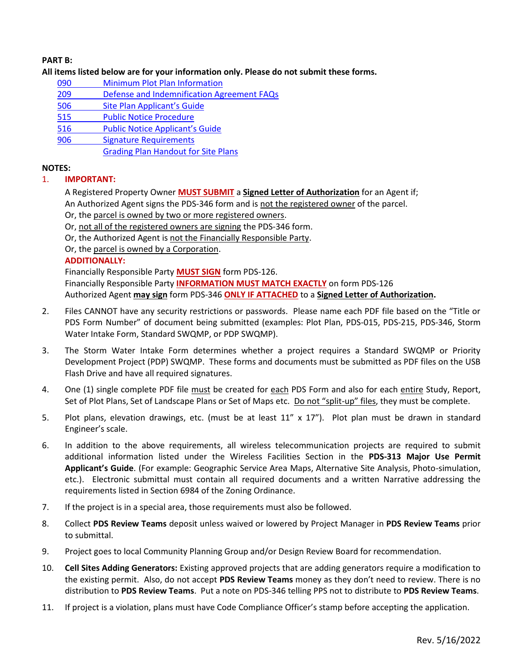### **PART B:**

#### **All items listed below are for your information only. Please do not submit these forms.**

- 090 [Minimum Plot Plan Information](http://www.sdcounty.ca.gov/pds/docs/pds090.pdf)
- 209 [Defense and Indemnification Agreement FAQs](http://www.sdcounty.ca.gov/pds/zoning/formfields/PDS-PLN-209.pdf)
- 506 [Site Plan Applicant's Guide](http://www.sdcounty.ca.gov/pds/zoning/formfields/PDS-PLN-506.pdf)
- [515 Public Notice Procedure](http://www.sdcounty.ca.gov/pds/zoning/formfields/PDS-PLN-515.pdf)
- 516 [Public Notice Applicant's Guide](http://www.sdcounty.ca.gov/pds/zoning/formfields/PDS-PLN-516.pdf)
- 906 [Signature Requirements](http://www.sdcounty.ca.gov/pds/zoning/formfields/PDS-PLN-906.pdf)
	- [Grading Plan Handout for Site Plans](http://www.sdcounty.ca.gov/pds/zoning/formfields/GradePlanHandoutSitePlanMUP.pdf)

## **NOTES:**

## 1. **IMPORTANT:**

A Registered Property Owner **MUST SUBMIT** a **Signed Letter of Authorization** for an Agent if; An Authorized Agent signs the PDS-346 form and is not the registered owner of the parcel.

Or, the parcel is owned by two or more registered owners.

Or, not all of the registered owners are signing the PDS-346 form.

- Or, the Authorized Agent is not the Financially Responsible Party.
- Or, the parcel is owned by a Corporation.

# **ADDITIONALLY:**

Financially Responsible Party **MUST SIGN** form PDS-126. Financially Responsible Party **INFORMATION MUST MATCH EXACTLY** on form PDS-126

Authorized Agent **may sign** form PDS-346 **ONLY IF ATTACHED** to a **Signed Letter of Authorization.**

- 2. Files CANNOT have any security restrictions or passwords. Please name each PDF file based on the "Title or PDS Form Number" of document being submitted (examples: Plot Plan, PDS-015, PDS-215, PDS-346, Storm Water Intake Form, Standard SWQMP, or PDP SWQMP).
- 3. The Storm Water Intake Form determines whether a project requires a Standard SWQMP or Priority Development Project (PDP) SWQMP. These forms and documents must be submitted as PDF files on the USB Flash Drive and have all required signatures.
- 4. One (1) single complete PDF file must be created for each PDS Form and also for each entire Study, Report, Set of Plot Plans, Set of Landscape Plans or Set of Maps etc. Do not "split-up" files, they must be complete.
- 5. Plot plans, elevation drawings, etc. (must be at least 11" x 17"). Plot plan must be drawn in standard Engineer's scale.
- 6. In addition to the above requirements, all wireless telecommunication projects are required to submit additional information listed under the Wireless Facilities Section in the **PDS-313 Major Use Permit Applicant's Guide**. (For example: Geographic Service Area Maps, Alternative Site Analysis, Photo-simulation, etc.). Electronic submittal must contain all required documents and a written Narrative addressing the requirements listed in Section 6984 of the Zoning Ordinance.
- 7. If the project is in a special area, those requirements must also be followed.
- 8. Collect **PDS Review Teams** deposit unless waived or lowered by Project Manager in **PDS Review Teams** prior to submittal.
- 9. Project goes to local Community Planning Group and/or Design Review Board for recommendation.
- 10. **Cell Sites Adding Generators:** Existing approved projects that are adding generators require a modification to the existing permit. Also, do not accept **PDS Review Teams** money as they don't need to review. There is no distribution to **PDS Review Teams**. Put a note on PDS-346 telling PPS not to distribute to **PDS Review Teams**.
- 11. If project is a violation, plans must have Code Compliance Officer's stamp before accepting the application.